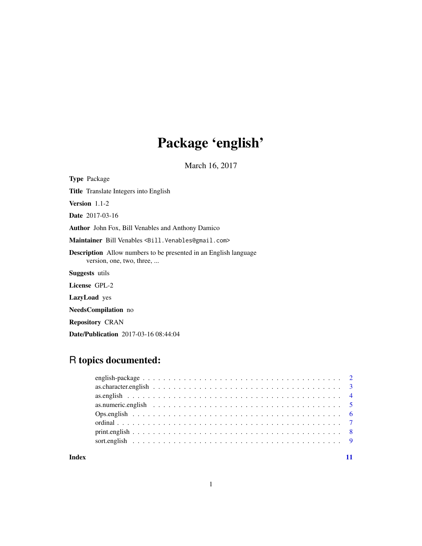# Package 'english'

March 16, 2017

<span id="page-0-0"></span>

| <b>Type Package</b>                                                                                  |
|------------------------------------------------------------------------------------------------------|
| <b>Title</b> Translate Integers into English                                                         |
| <b>Version</b> $1.1-2$                                                                               |
| <b>Date</b> 2017-03-16                                                                               |
| <b>Author</b> John Fox, Bill Venables and Anthony Damico                                             |
| Maintainer Bill Venables <bill.venables@gmail.com></bill.venables@gmail.com>                         |
| <b>Description</b> Allow numbers to be presented in an English language<br>version, one, two, three, |
| <b>Suggests</b> utils                                                                                |
| License GPL-2                                                                                        |
| <b>LazyLoad</b> yes                                                                                  |
| <b>NeedsCompilation</b> no                                                                           |

Repository CRAN

Date/Publication 2017-03-16 08:44:04

### R topics documented:

| Index |  |  |
|-------|--|--|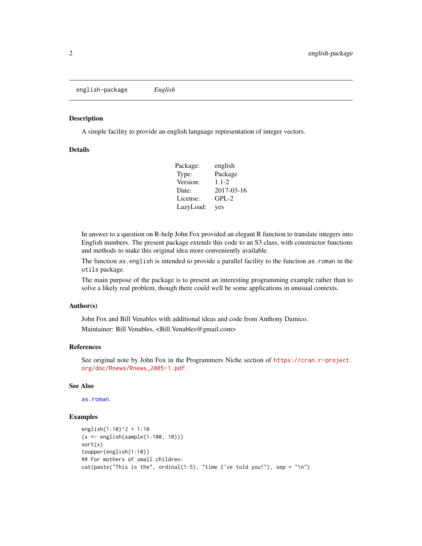#### <span id="page-1-0"></span>Description

A simple facility to provide an english language representation of integer vectors.

#### Details

| Package:  | english    |
|-----------|------------|
| Type:     | Package    |
| Version:  | $1.1 - 2$  |
| Date:     | 2017-03-16 |
| License:  | $GPL-2$    |
| LazyLoad: | yes        |

In answer to a question on R-help John Fox provided an elegant R function to translate integers into English numbers. The present package extends this code to an S3 class, with constructor functions and methods to make this original idea more conveniently available.

The function as english is intended to provide a parallel facility to the function as roman in the utils package.

The main purpose of the package is to present an interesting programming example rather than to solve a likely real problem, though there could well be some applications in unusual contexts.

#### Author(s)

John Fox and Bill Venables with additional ideas and code from Anthony Damico. Maintainer: Bill Venables, <Bill.Venables@gmail.com>

#### References

See original note by John Fox in the Programmers Niche section of [https://cran.r-project.](https://cran.r-project.org/doc/Rnews/Rnews_2005-1.pdf) [org/doc/Rnews/Rnews\\_2005-1.pdf](https://cran.r-project.org/doc/Rnews/Rnews_2005-1.pdf).

#### See Also

[as.roman](#page-0-0).

#### Examples

```
english(1:10)^2 + 1:10
(x <- english(sample(1:100, 10)))
sort(x)
toupper(english(1:10))
## For mothers of small children:
cat(paste("This is the", ordinal(1:5), "time I've told you!"), sep = "\\n")
```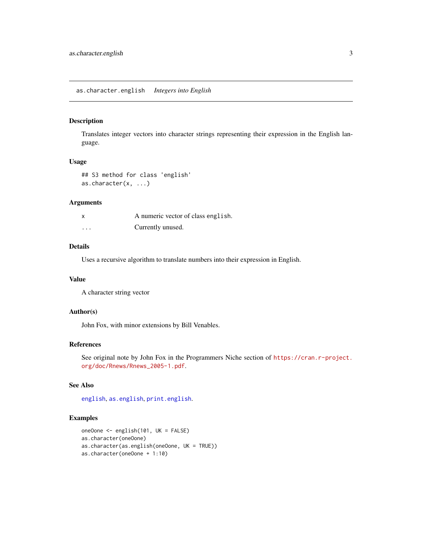<span id="page-2-1"></span><span id="page-2-0"></span>as.character.english *Integers into English*

#### Description

Translates integer vectors into character strings representing their expression in the English language.

#### Usage

```
## S3 method for class 'english'
as.character(x, ...)
```
#### Arguments

|          | A numeric vector of class english. |
|----------|------------------------------------|
| $\cdots$ | Currently unused.                  |

#### Details

Uses a recursive algorithm to translate numbers into their expression in English.

#### Value

A character string vector

#### Author(s)

John Fox, with minor extensions by Bill Venables.

#### References

See original note by John Fox in the Programmers Niche section of [https://cran.r-project.](https://cran.r-project.org/doc/Rnews/Rnews_2005-1.pdf) [org/doc/Rnews/Rnews\\_2005-1.pdf](https://cran.r-project.org/doc/Rnews/Rnews_2005-1.pdf).

#### See Also

[english](#page-3-1), [as.english](#page-3-2), [print.english](#page-7-1).

#### Examples

```
oneOone <- english(101, UK = FALSE)
as.character(oneOone)
as.character(as.english(oneOone, UK = TRUE))
as.character(oneOone + 1:10)
```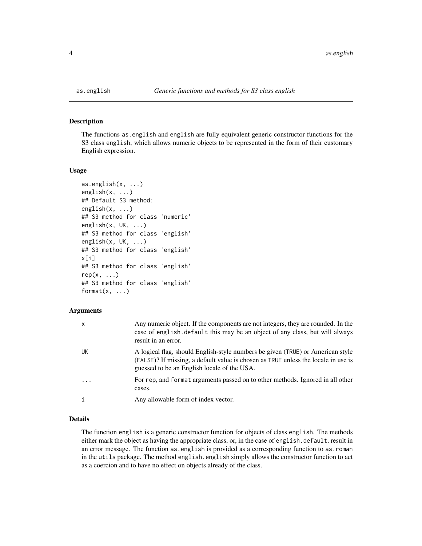<span id="page-3-2"></span><span id="page-3-0"></span>

#### <span id="page-3-1"></span>Description

The functions as.english and english are fully equivalent generic constructor functions for the S3 class english, which allows numeric objects to be represented in the form of their customary English expression.

#### Usage

```
as.english(x, ...)
english(x, ...)
## Default S3 method:
english(x, ...)
## S3 method for class 'numeric'
english(x, UK, ...)
## S3 method for class 'english'
english(x, UK, ...)
## S3 method for class 'english'
x[i]
## S3 method for class 'english'
rep(x, \ldots)## S3 method for class 'english'
format(x, \ldots)
```
#### Arguments

| $\mathsf{x}$ | Any numeric object. If the components are not integers, they are rounded. In the<br>case of english. default this may be an object of any class, but will always<br>result in an error.                             |
|--------------|---------------------------------------------------------------------------------------------------------------------------------------------------------------------------------------------------------------------|
| UK           | A logical flag, should English-style numbers be given (TRUE) or American style<br>(FALSE)? If missing, a default value is chosen as TRUE unless the locale in use is<br>guessed to be an English locale of the USA. |
| $\cdot$      | For rep, and format arguments passed on to other methods. Ignored in all other<br>cases.                                                                                                                            |
|              | Any allowable form of index vector.                                                                                                                                                                                 |

#### Details

The function english is a generic constructor function for objects of class english. The methods either mark the object as having the appropriate class, or, in the case of english.default, result in an error message. The function as.english is provided as a corresponding function to as.roman in the utils package. The method english.english simply allows the constructor function to act as a coercion and to have no effect on objects already of the class.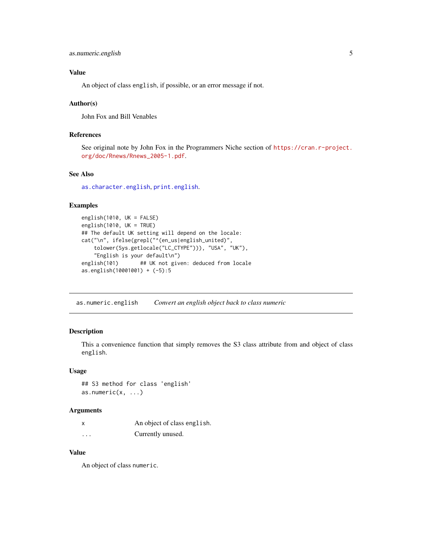```
as.numeric.english 5
```
#### Value

An object of class english, if possible, or an error message if not.

#### Author(s)

John Fox and Bill Venables

#### References

See original note by John Fox in the Programmers Niche section of [https://cran.r-project.](https://cran.r-project.org/doc/Rnews/Rnews_2005-1.pdf) [org/doc/Rnews/Rnews\\_2005-1.pdf](https://cran.r-project.org/doc/Rnews/Rnews_2005-1.pdf).

#### See Also

[as.character.english](#page-2-1), [print.english](#page-7-1).

#### Examples

```
english(1010, UK = FALSE)
english(1010, UK = TRUE)
## The default UK setting will depend on the locale:
cat("\n", ifelse(grepl("^(en_us|english_united)",
    tolower(Sys.getlocale("LC_CTYPE"))), "USA", "UK"),
    "English is your default\n")
english(101) ## UK not given: deduced from locale
as.english(10001001) + (-5):5
```
as.numeric.english *Convert an english object back to class numeric*

#### Description

This a convenience function that simply removes the S3 class attribute from and object of class english.

#### Usage

## S3 method for class 'english' as.numeric $(x, \ldots)$ 

#### Arguments

| x                       | An object of class english. |
|-------------------------|-----------------------------|
| $\cdot$ $\cdot$ $\cdot$ | Currently unused.           |

#### Value

An object of class numeric.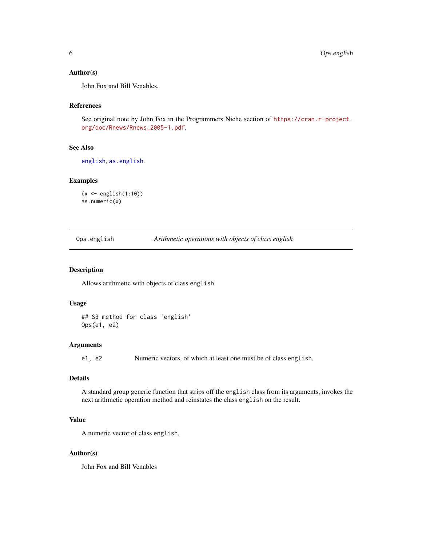#### <span id="page-5-0"></span>Author(s)

John Fox and Bill Venables.

#### References

See original note by John Fox in the Programmers Niche section of [https://cran.r-project.](https://cran.r-project.org/doc/Rnews/Rnews_2005-1.pdf) [org/doc/Rnews/Rnews\\_2005-1.pdf](https://cran.r-project.org/doc/Rnews/Rnews_2005-1.pdf).

#### See Also

[english](#page-3-1), [as.english](#page-3-2).

#### Examples

```
(x <- english(1:10))
as.numeric(x)
```
Ops.english *Arithmetic operations with objects of class english*

#### Description

Allows arithmetic with objects of class english.

#### Usage

```
## S3 method for class 'english'
Ops(e1, e2)
```
#### Arguments

e1, e2 Numeric vectors, of which at least one must be of class english.

#### Details

A standard group generic function that strips off the english class from its arguments, invokes the next arithmetic operation method and reinstates the class english on the result.

#### Value

A numeric vector of class english.

#### Author(s)

John Fox and Bill Venables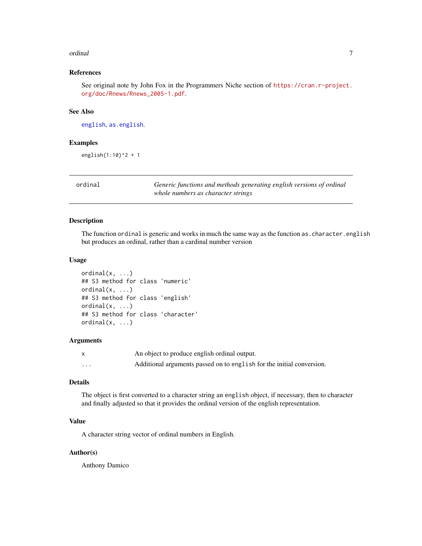#### <span id="page-6-0"></span>ordinal 2008 and 2008 and 2008 and 2008 and 2008 and 2008 and 2008 and 2008 and 2008 and 2008 and 2008 and 200

#### References

See original note by John Fox in the Programmers Niche section of [https://cran.r-project.](https://cran.r-project.org/doc/Rnews/Rnews_2005-1.pdf) [org/doc/Rnews/Rnews\\_2005-1.pdf](https://cran.r-project.org/doc/Rnews/Rnews_2005-1.pdf).

#### See Also

[english](#page-3-1), [as.english](#page-3-2).

#### Examples

english $(1:10)^2 + 1$ 

| ordinal |  |
|---------|--|
|         |  |

Generic functions and methods generating english versions of ordinal *whole numbers as character strings*

#### Description

The function ordinal is generic and works in much the same way as the function as. character. english but produces an ordinal, rather than a cardinal number version

#### Usage

```
ordinal(x, \ldots)## S3 method for class 'numeric'
\text{normal}(x, \ldots)## S3 method for class 'english'
ordinal(x, ...)
## S3 method for class 'character'
\text{normal}(x, \ldots)
```
#### Arguments

|          | An object to produce english ordinal output.                          |
|----------|-----------------------------------------------------------------------|
| $\cdots$ | Additional arguments passed on to english for the initial conversion. |

#### Details

The object is first converted to a character string an english object, if necessary, then to character and finally adjusted so that it provides the ordinal version of the english representation.

#### Value

A character string vector of ordinal numbers in English.

#### Author(s)

Anthony Damico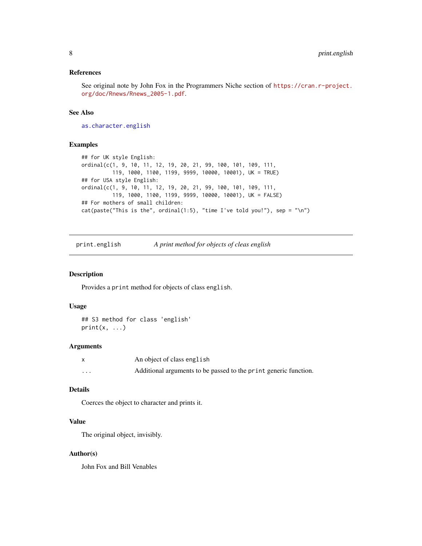#### <span id="page-7-0"></span>References

See original note by John Fox in the Programmers Niche section of [https://cran.r-project.](https://cran.r-project.org/doc/Rnews/Rnews_2005-1.pdf) [org/doc/Rnews/Rnews\\_2005-1.pdf](https://cran.r-project.org/doc/Rnews/Rnews_2005-1.pdf).

#### See Also

[as.character.english](#page-2-1)

#### Examples

```
## for UK style English:
ordinal(c(1, 9, 10, 11, 12, 19, 20, 21, 99, 100, 101, 109, 111,
          119, 1000, 1100, 1199, 9999, 10000, 10001), UK = TRUE)
## for USA style English:
ordinal(c(1, 9, 10, 11, 12, 19, 20, 21, 99, 100, 101, 109, 111,
         119, 1000, 1100, 1199, 9999, 10000, 10001), UK = FALSE)
## For mothers of small children:
cat(paste("This is the", ordinal(1:5), "time I've told you!"), sep = "\\n")
```
<span id="page-7-1"></span>print.english *A print method for objects of cleas english*

#### Description

Provides a print method for objects of class english.

#### Usage

```
## S3 method for class 'english'
print(x, \ldots)
```
#### Arguments

|   | An object of class english                                       |
|---|------------------------------------------------------------------|
| . | Additional arguments to be passed to the print generic function. |

#### Details

Coerces the object to character and prints it.

#### Value

The original object, invisibly.

#### Author(s)

John Fox and Bill Venables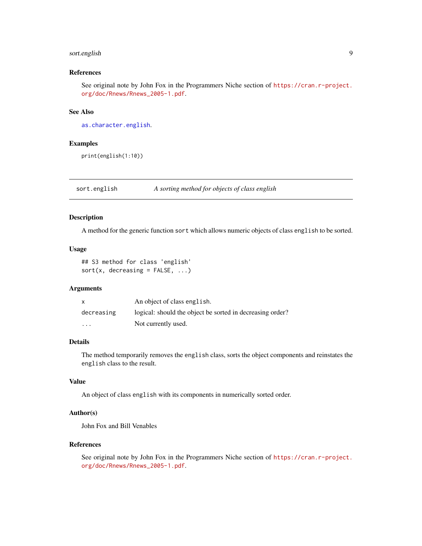#### <span id="page-8-0"></span>sort.english 9

#### References

See original note by John Fox in the Programmers Niche section of [https://cran.r-project.](https://cran.r-project.org/doc/Rnews/Rnews_2005-1.pdf) [org/doc/Rnews/Rnews\\_2005-1.pdf](https://cran.r-project.org/doc/Rnews/Rnews_2005-1.pdf).

#### See Also

[as.character.english](#page-2-1).

#### Examples

print(english(1:10))

sort.english *A sorting method for objects of class english*

#### Description

A method for the generic function sort which allows numeric objects of class english to be sorted.

#### Usage

## S3 method for class 'english'  $sort(x, decreasing = FALSE, ...)$ 

#### Arguments

| $\mathsf{x}$            | An object of class english.                               |
|-------------------------|-----------------------------------------------------------|
| decreasing              | logical: should the object be sorted in decreasing order? |
| $\cdot$ $\cdot$ $\cdot$ | Not currently used.                                       |

#### Details

The method temporarily removes the english class, sorts the object components and reinstates the english class to the result.

#### Value

An object of class english with its components in numerically sorted order.

#### Author(s)

John Fox and Bill Venables

#### References

See original note by John Fox in the Programmers Niche section of [https://cran.r-project.](https://cran.r-project.org/doc/Rnews/Rnews_2005-1.pdf) [org/doc/Rnews/Rnews\\_2005-1.pdf](https://cran.r-project.org/doc/Rnews/Rnews_2005-1.pdf).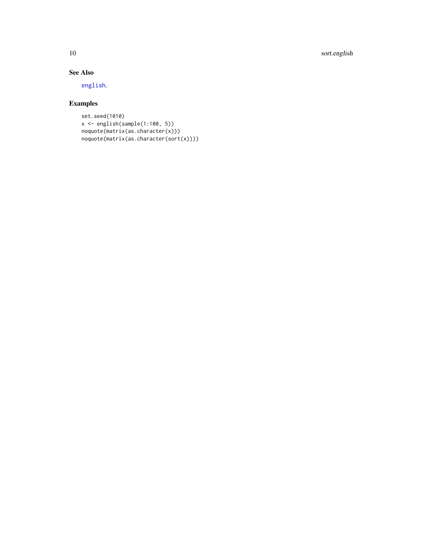<span id="page-9-0"></span>10 sort.english

#### See Also

[english](#page-3-1).

### Examples

```
set.seed(1010)
x <- english(sample(1:100, 5))
noquote(matrix(as.character(x)))
noquote(matrix(as.character(sort(x))))
```